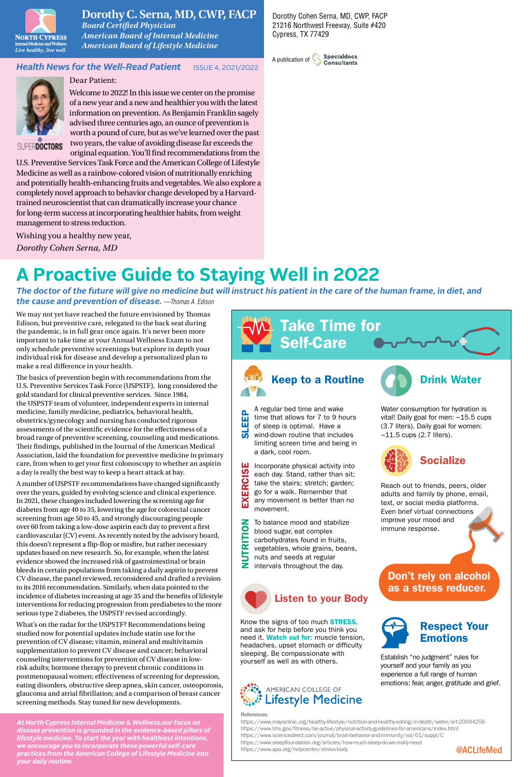

## **Dorothy C. Serna, MD, CWP, FACP**

*Board Certified Physician American Board of Internal Medicine American Board of Lifestyle Medicine*

### **Health News for the Well-Read Patient ISSUE 4, 2021/2022**



Dear Patient:

Welcome to 2022! In this issue we center on the promise of a new year and a new and healthier you with the latest information on prevention. As Benjamin Franklin sagely advised three centuries ago, an ounce of prevention is worth a pound of cure, but as we've learned over the past two years, the value of avoiding disease far exceeds the original equation. You'll find recommendations from the

SUPERDOCTORS'

U.S. Preventive Services Task Force and the American College of Lifestyle Medicine as well as a rainbow-colored vision of nutritionally enriching and potentially health-enhancing fruits and vegetables. We also explore a completely novel approach to behavior change developed by a Harvardtrained neuroscientist that can dramatically increase your chance for long-term success at incorporating healthier habits, from weight management to stress reduction.

Wishing you a healthy new year, *Dorothy Cohen Serna, MD*

# **A Proactive Guide to Staying Well in 2022**

*The doctor of the future will give no medicine but will instruct his patient in the care of the human frame, in diet, and the cause and prevention of disease. —Thomas A. Edison*

We may not yet have reached the future envisioned by Thomas Edison, but preventive care, relegated to the back seat during the pandemic, is in full gear once again. It's never been more important to take time at your Annual Wellness Exam to not only schedule preventive screenings but explore in depth your individual risk for disease and develop a personalized plan to make a real difference in your health.

The basics of prevention begin with recommendations from the U.S. Preventive Services Task Force (USPSTF), long considered the gold standard for clinical preventive services. Since 1984, the USPSTF team of volunteer, independent experts in internal medicine, family medicine, pediatrics, behavioral health, obstetrics/gynecology and nursing has conducted rigorous assessments of the scientific evidence for the effectiveness of a broad range of preventive screening, counseling and medications. Their findings, published in the Journal of the American Medical Association, laid the foundation for preventive medicine in primary care, from when to get your first colonoscopy to whether an aspirin a day is really the best way to keep a heart attack at bay.

A number of USPSTF recommendations have changed significantly over the years, guided by evolving science and clinical experience. In 2021, these changes included lowering the screening age for diabetes from age 40 to 35, lowering the age for colorectal cancer screening from age 50 to 45, and strongly discouraging people over 60 from taking a low-dose aspirin each day to prevent a first cardiovascular (CV) event. As recently noted by the advisory board, this doesn't represent a flip-flop or misfire, but rather necessary updates based on new research. So, for example, when the latest evidence showed the increased risk of gastrointestinal or brain bleeds in certain populations from taking a daily aspirin to prevent CV disease, the panel reviewed, reconsidered and drafted a revision to its 2016 recommendation. Similarly, when data pointed to the incidence of diabetes increasing at age 35 and the benefits of lifestyle interventions for reducing progression from prediabetes to the more serious type 2 diabetes, the USPSTF revised accordingly.

What's on the radar for the USPSTF? Recommendations being studied now for potential updates include statin use for the prevention of CV disease; vitamin, mineral and multivitamin supplementation to prevent CV disease and cancer; behavioral counseling interventions for prevention of CV disease in lowrisk adults; hormone therapy to prevent chronic conditions in postmenopausal women; effectiveness of screening for depression, eating disorders, obstructive sleep apnea, skin cancer, osteoporosis, glaucoma and atrial fibrillation; and a comparison of breast cancer screening methods. Stay tuned for new developments.

*At North Cypress Internal Medicine & Wellness,our focus on disease prevention is grounded in the evidence-based pillars of lifestyle medicine. To start the year with healthiest intentions, we encourage you to incorporate these powerful self-care practices from the American College of Lifestyle Medicine into your daily routine.*

Take Time for Self-Care Keep to a Routine **CAL Drink Water** A regular bed time and wake Water consumption for hydration is SLEEP time that allows for 7 to 9 hours vital! Daily goal for men: ~15.5 cups of sleep is optimal. Have a (3.7 liters). Daily goal for women: wind-down routine that includes  $~11.5$  cups (2.7 liters). limiting screen time and being in a dark, cool room. **Socialize** Incorporate physical activity into EXERCISE EXERCISE each day. Stand, rather than sit; take the stairs; stretch; garden; Reach out to friends, peers, older go for a walk. Remember that adults and family by phone, email, any movement is better than no text, or social media platforms. movement. Even brief virtual connections improve your mood and RITION To balance mood and stabilize NUTRITIONimmune response. blood sugar, eat complex carbohydrates found in fruits, vegetables, whole grains, beans, **FUZ** nuts and seeds at regular intervals throughout the day. Don't rely on alcohol as a stress reducer. Listen to your Body Know the signs of too much **STRESS**, Respect Your and ask for help before you think you need it. Watch out for: muscle tension, Emotions headaches, upset stomach or difficulty sleeping. Be compassionate with Establish "no judgment" rules for yourself as well as with others. yourself and your family as you



#### References:

@ACLifeMed https://www.mayoclinic.org/healthy-lifestyle/nutrition-and-healthy-eating/in-depth/water/art-20044256 https://www.hhs.gov/fitness/be-active/physical-activity-guidelines-for-americans/index.html https://www.sciencedirect.com/journal/brain-behavior-and-immunity/vol/61/suppl/C https://www.sleepfoundation.org/articles/how-much-sleep-do-we-really-need https://www.apa.org/helpcenter/stress-body

Dorothy Cohen Serna, MD, CWP, FACP 21216 Northwest Freeway, Suite #420 Cypress, TX 77429



experience a full range of human emotions: fear, anger, gratitude and grief.